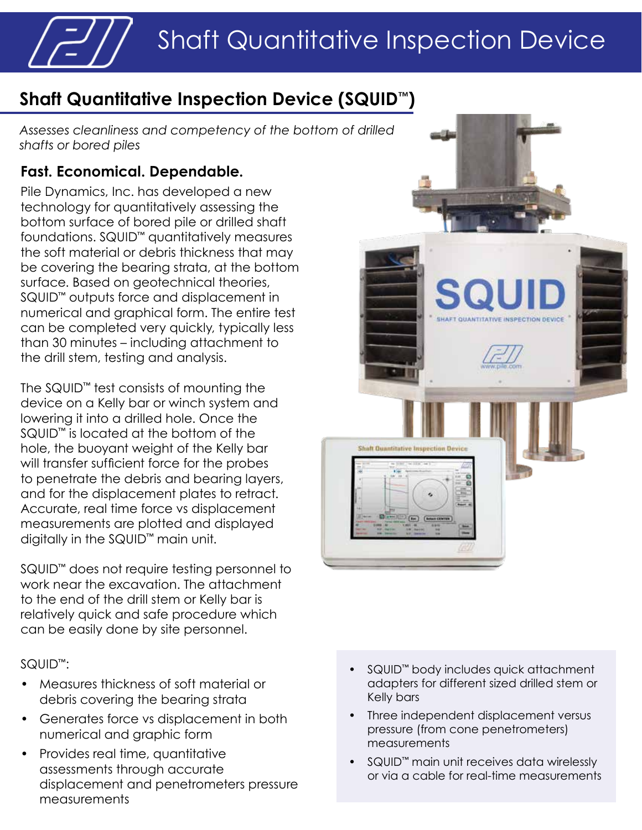# Shaft Quantitative Inspection Device

## **Shaft Quantitative Inspection Device (SQUID™)**

*Assesses cleanliness and competency of the bottom of drilled shafts or bored piles*

### **Fast. Economical. Dependable.**

Pile Dynamics, Inc. has developed a new technology for quantitatively assessing the bottom surface of bored pile or drilled shaft foundations. SQUID™ quantitatively measures the soft material or debris thickness that may be covering the bearing strata, at the bottom surface. Based on geotechnical theories, SQUID™ outputs force and displacement in numerical and graphical form. The entire test can be completed very quickly, typically less than 30 minutes – including attachment to the drill stem, testing and analysis.

The SQUID™ test consists of mounting the device on a Kelly bar or winch system and lowering it into a drilled hole. Once the SQUID™ is located at the bottom of the hole, the buoyant weight of the Kelly bar will transfer sufficient force for the probes to penetrate the debris and bearing layers, and for the displacement plates to retract. Accurate, real time force vs displacement measurements are plotted and displayed digitally in the SQUID™ main unit.

SQUID™ does not require testing personnel to work near the excavation. The attachment to the end of the drill stem or Kelly bar is relatively quick and safe procedure which can be easily done by site personnel.

#### SQUID™:

- Measures thickness of soft material or debris covering the bearing strata
- Generates force vs displacement in both numerical and graphic form
- Provides real time, quantitative assessments through accurate displacement and penetrometers pressure measurements



- SQUID™ body includes quick attachment adapters for different sized drilled stem or Kelly bars
- Three independent displacement versus pressure (from cone penetrometers) measurements
- SQUID™ main unit receives data wirelessly or via a cable for real-time measurements